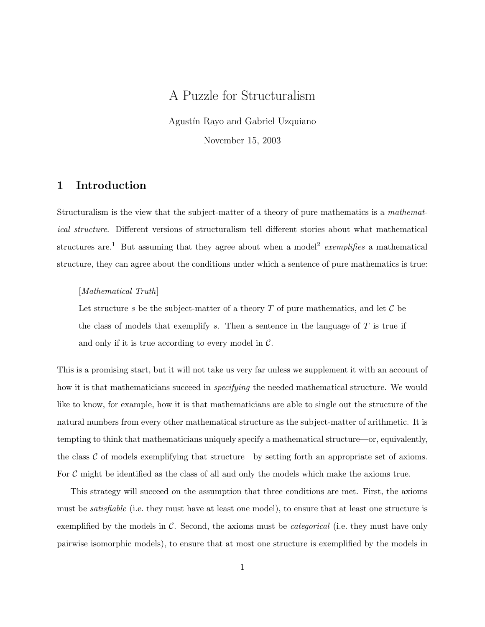# A Puzzle for Structuralism

Agustín Rayo and Gabriel Uzquiano November 15, 2003

1 Introduction

Structuralism is the view that the subject-matter of a theory of pure mathematics is a mathematical structure. Different versions of structuralism tell different stories about what mathematical structures are.<sup>1</sup> But assuming that they agree about when a model<sup>2</sup> exemplifies a mathematical structure, they can agree about the conditions under which a sentence of pure mathematics is true:

## [Mathematical Truth]

Let structure s be the subject-matter of a theory  $T$  of pure mathematics, and let  $\mathcal C$  be the class of models that exemplify  $s$ . Then a sentence in the language of  $T$  is true if and only if it is true according to every model in  $\mathcal{C}$ .

This is a promising start, but it will not take us very far unless we supplement it with an account of how it is that mathematicians succeed in *specifying* the needed mathematical structure. We would like to know, for example, how it is that mathematicians are able to single out the structure of the natural numbers from every other mathematical structure as the subject-matter of arithmetic. It is tempting to think that mathematicians uniquely specify a mathematical structure—or, equivalently, the class  $\mathcal C$  of models exemplifying that structure—by setting forth an appropriate set of axioms. For  $C$  might be identified as the class of all and only the models which make the axioms true.

This strategy will succeed on the assumption that three conditions are met. First, the axioms must be *satisfiable* (i.e. they must have at least one model), to ensure that at least one structure is exemplified by the models in  $\mathcal{C}$ . Second, the axioms must be *categorical* (i.e. they must have only pairwise isomorphic models), to ensure that at most one structure is exemplified by the models in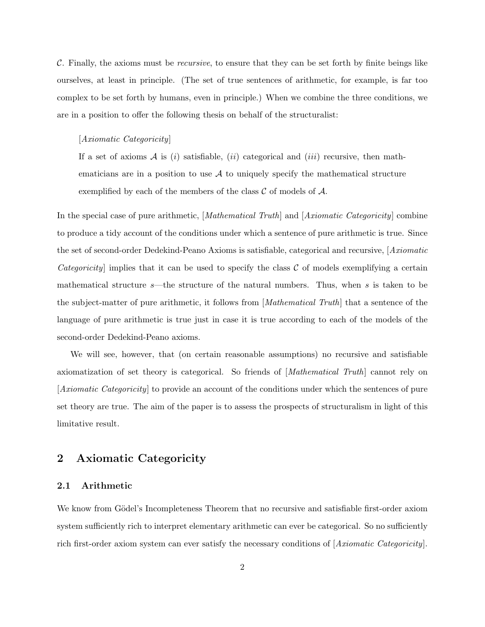$\mathcal{C}$ . Finally, the axioms must be *recursive*, to ensure that they can be set forth by finite beings like ourselves, at least in principle. (The set of true sentences of arithmetic, for example, is far too complex to be set forth by humans, even in principle.) When we combine the three conditions, we are in a position to offer the following thesis on behalf of the structuralist:

#### [Axiomatic Categoricity]

If a set of axioms  $A$  is (i) satisfiable, (ii) categorical and (iii) recursive, then mathematicians are in a position to use  $A$  to uniquely specify the mathematical structure exemplified by each of the members of the class  $\mathcal C$  of models of  $\mathcal A$ .

In the special case of pure arithmetic, [*Mathematical Truth*] and [*Axiomatic Categoricity*] combine to produce a tidy account of the conditions under which a sentence of pure arithmetic is true. Since the set of second-order Dedekind-Peano Axioms is satisfiable, categorical and recursive, [Axiomatic Categoricity implies that it can be used to specify the class  $\mathcal C$  of models exemplifying a certain mathematical structure s—the structure of the natural numbers. Thus, when s is taken to be the subject-matter of pure arithmetic, it follows from [Mathematical Truth] that a sentence of the language of pure arithmetic is true just in case it is true according to each of the models of the second-order Dedekind-Peano axioms.

We will see, however, that (on certain reasonable assumptions) no recursive and satisfiable axiomatization of set theory is categorical. So friends of [Mathematical Truth] cannot rely on [Axiomatic Categoricity] to provide an account of the conditions under which the sentences of pure set theory are true. The aim of the paper is to assess the prospects of structuralism in light of this limitative result.

# 2 Axiomatic Categoricity

# 2.1 Arithmetic

We know from Gödel's Incompleteness Theorem that no recursive and satisfiable first-order axiom system sufficiently rich to interpret elementary arithmetic can ever be categorical. So no sufficiently rich first-order axiom system can ever satisfy the necessary conditions of [Axiomatic Categoricity].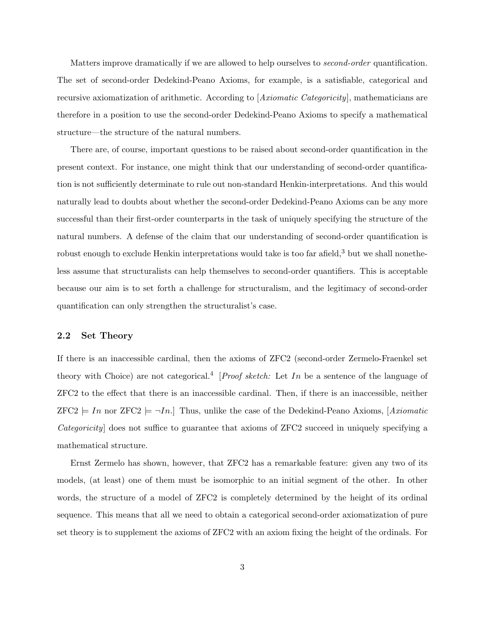Matters improve dramatically if we are allowed to help ourselves to *second-order* quantification. The set of second-order Dedekind-Peano Axioms, for example, is a satisfiable, categorical and recursive axiomatization of arithmetic. According to [Axiomatic Categoricity], mathematicians are therefore in a position to use the second-order Dedekind-Peano Axioms to specify a mathematical structure—the structure of the natural numbers.

There are, of course, important questions to be raised about second-order quantification in the present context. For instance, one might think that our understanding of second-order quantification is not sufficiently determinate to rule out non-standard Henkin-interpretations. And this would naturally lead to doubts about whether the second-order Dedekind-Peano Axioms can be any more successful than their first-order counterparts in the task of uniquely specifying the structure of the natural numbers. A defense of the claim that our understanding of second-order quantification is robust enough to exclude Henkin interpretations would take is too far afield,<sup>3</sup> but we shall nonetheless assume that structuralists can help themselves to second-order quantifiers. This is acceptable because our aim is to set forth a challenge for structuralism, and the legitimacy of second-order quantification can only strengthen the structuralist's case.

## 2.2 Set Theory

If there is an inaccessible cardinal, then the axioms of ZFC2 (second-order Zermelo-Fraenkel set theory with Choice) are not categorical.<sup>4</sup> [*Proof sketch:* Let In be a sentence of the language of ZFC2 to the effect that there is an inaccessible cardinal. Then, if there is an inaccessible, neither  $ZFC2 = In$  nor  $ZFC2 = \neg In.$  Thus, unlike the case of the Dedekind-Peano Axioms, [Axiomatic Categoricity] does not suffice to guarantee that axioms of ZFC2 succeed in uniquely specifying a mathematical structure.

Ernst Zermelo has shown, however, that ZFC2 has a remarkable feature: given any two of its models, (at least) one of them must be isomorphic to an initial segment of the other. In other words, the structure of a model of ZFC2 is completely determined by the height of its ordinal sequence. This means that all we need to obtain a categorical second-order axiomatization of pure set theory is to supplement the axioms of ZFC2 with an axiom fixing the height of the ordinals. For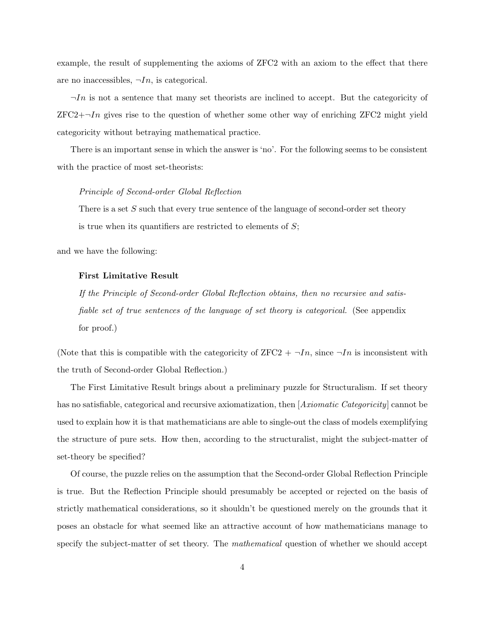example, the result of supplementing the axioms of ZFC2 with an axiom to the effect that there are no inaccessibles,  $\neg In$ , is categorical.

 $\neg In$  is not a sentence that many set theorists are inclined to accept. But the categoricity of  $ZFC2+\neg In$  gives rise to the question of whether some other way of enriching  $ZFC2$  might yield categoricity without betraying mathematical practice.

There is an important sense in which the answer is 'no'. For the following seems to be consistent with the practice of most set-theorists:

#### Principle of Second-order Global Reflection

There is a set  $S$  such that every true sentence of the language of second-order set theory is true when its quantifiers are restricted to elements of  $S$ ;

and we have the following:

#### First Limitative Result

If the Principle of Second-order Global Reflection obtains, then no recursive and satisfiable set of true sentences of the language of set theory is categorical. (See appendix for proof.)

(Note that this is compatible with the categoricity of  $ZFC2 + \neg In$ , since  $\neg In$  is inconsistent with the truth of Second-order Global Reflection.)

The First Limitative Result brings about a preliminary puzzle for Structuralism. If set theory has no satisfiable, categorical and recursive axiomatization, then *[Axiomatic Categoricity]* cannot be used to explain how it is that mathematicians are able to single-out the class of models exemplifying the structure of pure sets. How then, according to the structuralist, might the subject-matter of set-theory be specified?

Of course, the puzzle relies on the assumption that the Second-order Global Reflection Principle is true. But the Reflection Principle should presumably be accepted or rejected on the basis of strictly mathematical considerations, so it shouldn't be questioned merely on the grounds that it poses an obstacle for what seemed like an attractive account of how mathematicians manage to specify the subject-matter of set theory. The *mathematical* question of whether we should accept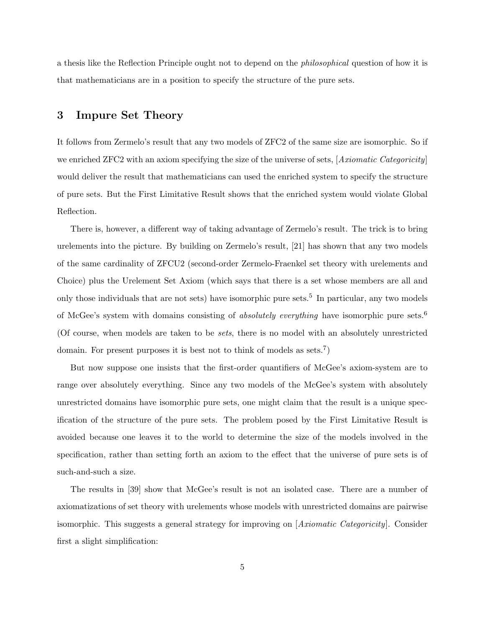a thesis like the Reflection Principle ought not to depend on the philosophical question of how it is that mathematicians are in a position to specify the structure of the pure sets.

# 3 Impure Set Theory

It follows from Zermelo's result that any two models of ZFC2 of the same size are isomorphic. So if we enriched ZFC2 with an axiom specifying the size of the universe of sets, [*Axiomatic Categoricity*] would deliver the result that mathematicians can used the enriched system to specify the structure of pure sets. But the First Limitative Result shows that the enriched system would violate Global Reflection.

There is, however, a different way of taking advantage of Zermelo's result. The trick is to bring urelements into the picture. By building on Zermelo's result, [21] has shown that any two models of the same cardinality of ZFCU2 (second-order Zermelo-Fraenkel set theory with urelements and Choice) plus the Urelement Set Axiom (which says that there is a set whose members are all and only those individuals that are not sets) have isomorphic pure sets.<sup>5</sup> In particular, any two models of McGee's system with domains consisting of *absolutely everything* have isomorphic pure sets.<sup>6</sup> (Of course, when models are taken to be sets, there is no model with an absolutely unrestricted domain. For present purposes it is best not to think of models as sets.<sup>7</sup>)

But now suppose one insists that the first-order quantifiers of McGee's axiom-system are to range over absolutely everything. Since any two models of the McGee's system with absolutely unrestricted domains have isomorphic pure sets, one might claim that the result is a unique specification of the structure of the pure sets. The problem posed by the First Limitative Result is avoided because one leaves it to the world to determine the size of the models involved in the specification, rather than setting forth an axiom to the effect that the universe of pure sets is of such-and-such a size.

The results in [39] show that McGee's result is not an isolated case. There are a number of axiomatizations of set theory with urelements whose models with unrestricted domains are pairwise isomorphic. This suggests a general strategy for improving on [Axiomatic Categoricity]. Consider first a slight simplification: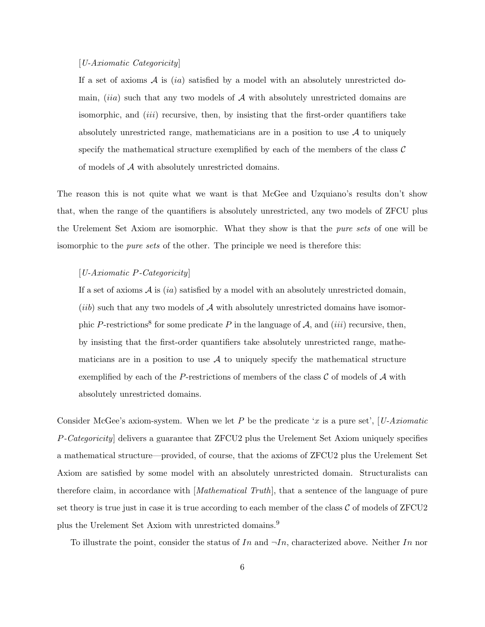### [U-Axiomatic Categoricity]

If a set of axioms  $A$  is (ia) satisfied by a model with an absolutely unrestricted domain,  $(ii)$  such that any two models of  $A$  with absolutely unrestricted domains are isomorphic, and  $(iii)$  recursive, then, by insisting that the first-order quantifiers take absolutely unrestricted range, mathematicians are in a position to use  $A$  to uniquely specify the mathematical structure exemplified by each of the members of the class  $\mathcal C$ of models of A with absolutely unrestricted domains.

The reason this is not quite what we want is that McGee and Uzquiano's results don't show that, when the range of the quantifiers is absolutely unrestricted, any two models of ZFCU plus the Urelement Set Axiom are isomorphic. What they show is that the pure sets of one will be isomorphic to the pure sets of the other. The principle we need is therefore this:

### [U-Axiomatic P-Categoricity]

If a set of axioms  $A$  is  $(ia)$  satisfied by a model with an absolutely unrestricted domain,  $(iib)$  such that any two models of  $A$  with absolutely unrestricted domains have isomorphic P-restrictions<sup>8</sup> for some predicate P in the language of A, and *(iii)* recursive, then, by insisting that the first-order quantifiers take absolutely unrestricted range, mathematicians are in a position to use  $A$  to uniquely specify the mathematical structure exemplified by each of the P-restrictions of members of the class  $\mathcal C$  of models of  $\mathcal A$  with absolutely unrestricted domains.

Consider McGee's axiom-system. When we let P be the predicate 'x is a pure set', [U-Axiomatic P-Categoricity] delivers a guarantee that ZFCU2 plus the Urelement Set Axiom uniquely specifies a mathematical structure—provided, of course, that the axioms of ZFCU2 plus the Urelement Set Axiom are satisfied by some model with an absolutely unrestricted domain. Structuralists can therefore claim, in accordance with [Mathematical Truth], that a sentence of the language of pure set theory is true just in case it is true according to each member of the class  $\mathcal C$  of models of  $ZFCU2$ plus the Urelement Set Axiom with unrestricted domains.<sup>9</sup>

To illustrate the point, consider the status of In and  $\neg In$ , characterized above. Neither In nor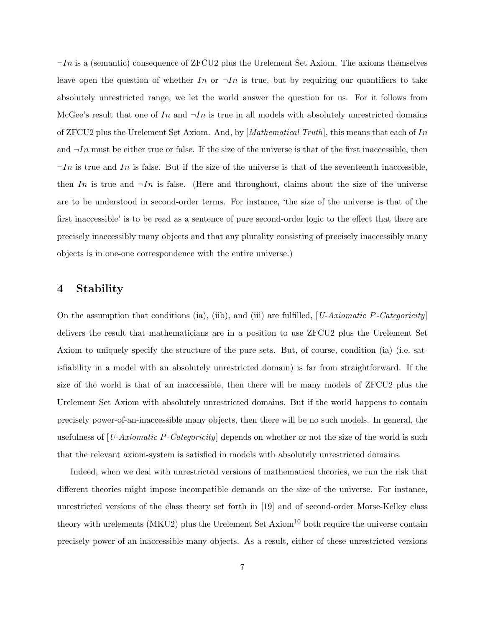$\neg In$  is a (semantic) consequence of ZFCU2 plus the Urelement Set Axiom. The axioms themselves leave open the question of whether In or  $\neg In$  is true, but by requiring our quantifiers to take absolutely unrestricted range, we let the world answer the question for us. For it follows from McGee's result that one of In and  $\neg In$  is true in all models with absolutely unrestricted domains of ZFCU2 plus the Urelement Set Axiom. And, by  $[Mathematical Truth]$ , this means that each of In and  $\neg In$  must be either true or false. If the size of the universe is that of the first inaccessible, then  $\neg In$  is true and In is false. But if the size of the universe is that of the seventeenth inaccessible, then In is true and  $\neg In$  is false. (Here and throughout, claims about the size of the universe are to be understood in second-order terms. For instance, 'the size of the universe is that of the first inaccessible' is to be read as a sentence of pure second-order logic to the effect that there are precisely inaccessibly many objects and that any plurality consisting of precisely inaccessibly many objects is in one-one correspondence with the entire universe.)

# 4 Stability

On the assumption that conditions (ia), (iib), and (iii) are fulfilled,  $[U-Axiomatic P-Categoricity]$ delivers the result that mathematicians are in a position to use ZFCU2 plus the Urelement Set Axiom to uniquely specify the structure of the pure sets. But, of course, condition (ia) (i.e. satisfiability in a model with an absolutely unrestricted domain) is far from straightforward. If the size of the world is that of an inaccessible, then there will be many models of ZFCU2 plus the Urelement Set Axiom with absolutely unrestricted domains. But if the world happens to contain precisely power-of-an-inaccessible many objects, then there will be no such models. In general, the usefulness of  $[U-Axiomatic P-Categoricity]$  depends on whether or not the size of the world is such that the relevant axiom-system is satisfied in models with absolutely unrestricted domains.

Indeed, when we deal with unrestricted versions of mathematical theories, we run the risk that different theories might impose incompatible demands on the size of the universe. For instance, unrestricted versions of the class theory set forth in [19] and of second-order Morse-Kelley class theory with urelements (MKU2) plus the Urelement Set Axiom<sup>10</sup> both require the universe contain precisely power-of-an-inaccessible many objects. As a result, either of these unrestricted versions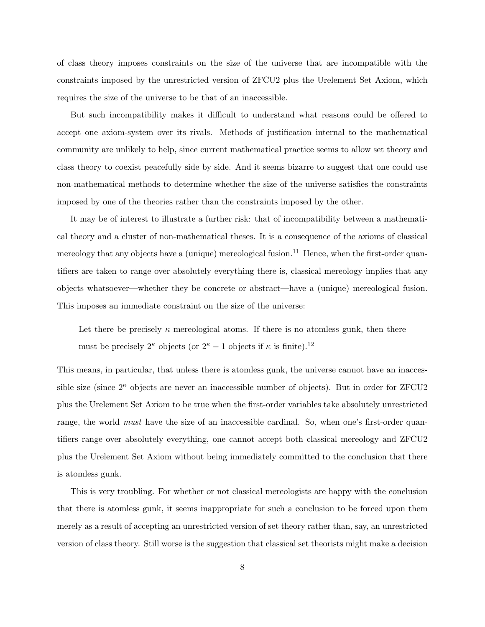of class theory imposes constraints on the size of the universe that are incompatible with the constraints imposed by the unrestricted version of ZFCU2 plus the Urelement Set Axiom, which requires the size of the universe to be that of an inaccessible.

But such incompatibility makes it difficult to understand what reasons could be offered to accept one axiom-system over its rivals. Methods of justification internal to the mathematical community are unlikely to help, since current mathematical practice seems to allow set theory and class theory to coexist peacefully side by side. And it seems bizarre to suggest that one could use non-mathematical methods to determine whether the size of the universe satisfies the constraints imposed by one of the theories rather than the constraints imposed by the other.

It may be of interest to illustrate a further risk: that of incompatibility between a mathematical theory and a cluster of non-mathematical theses. It is a consequence of the axioms of classical mereology that any objects have a (unique) mereological fusion.<sup>11</sup> Hence, when the first-order quantifiers are taken to range over absolutely everything there is, classical mereology implies that any objects whatsoever—whether they be concrete or abstract—have a (unique) mereological fusion. This imposes an immediate constraint on the size of the universe:

Let there be precisely  $\kappa$  mereological atoms. If there is no atomless gunk, then there must be precisely  $2^{\kappa}$  objects (or  $2^{\kappa} - 1$  objects if  $\kappa$  is finite).<sup>12</sup>

This means, in particular, that unless there is atomless gunk, the universe cannot have an inaccessible size (since  $2^{\kappa}$  objects are never an inaccessible number of objects). But in order for  $ZFCU2$ plus the Urelement Set Axiom to be true when the first-order variables take absolutely unrestricted range, the world *must* have the size of an inaccessible cardinal. So, when one's first-order quantifiers range over absolutely everything, one cannot accept both classical mereology and ZFCU2 plus the Urelement Set Axiom without being immediately committed to the conclusion that there is atomless gunk.

This is very troubling. For whether or not classical mereologists are happy with the conclusion that there is atomless gunk, it seems inappropriate for such a conclusion to be forced upon them merely as a result of accepting an unrestricted version of set theory rather than, say, an unrestricted version of class theory. Still worse is the suggestion that classical set theorists might make a decision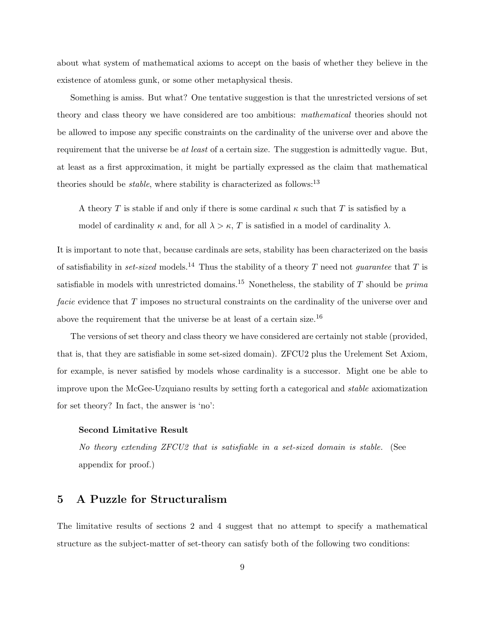about what system of mathematical axioms to accept on the basis of whether they believe in the existence of atomless gunk, or some other metaphysical thesis.

Something is amiss. But what? One tentative suggestion is that the unrestricted versions of set theory and class theory we have considered are too ambitious: mathematical theories should not be allowed to impose any specific constraints on the cardinality of the universe over and above the requirement that the universe be at least of a certain size. The suggestion is admittedly vague. But, at least as a first approximation, it might be partially expressed as the claim that mathematical theories should be *stable*, where stability is characterized as follows:<sup>13</sup>

A theory T is stable if and only if there is some cardinal  $\kappa$  such that T is satisfied by a model of cardinality  $\kappa$  and, for all  $\lambda > \kappa$ , T is satisfied in a model of cardinality  $\lambda$ .

It is important to note that, because cardinals are sets, stability has been characterized on the basis of satisfiability in set-sized models.<sup>14</sup> Thus the stability of a theory T need not *guarantee* that T is satisfiable in models with unrestricted domains.<sup>15</sup> Nonetheless, the stability of  $T$  should be  $\text{prima}$ facie evidence that T imposes no structural constraints on the cardinality of the universe over and above the requirement that the universe be at least of a certain size.<sup>16</sup>

The versions of set theory and class theory we have considered are certainly not stable (provided, that is, that they are satisfiable in some set-sized domain). ZFCU2 plus the Urelement Set Axiom, for example, is never satisfied by models whose cardinality is a successor. Might one be able to improve upon the McGee-Uzquiano results by setting forth a categorical and stable axiomatization for set theory? In fact, the answer is 'no':

#### Second Limitative Result

No theory extending ZFCU2 that is satisfiable in a set-sized domain is stable. (See appendix for proof.)

# 5 A Puzzle for Structuralism

The limitative results of sections 2 and 4 suggest that no attempt to specify a mathematical structure as the subject-matter of set-theory can satisfy both of the following two conditions: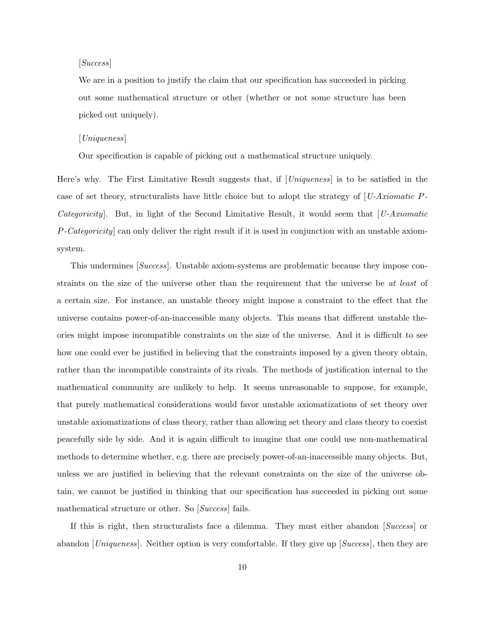## [Success]

We are in a position to justify the claim that our specification has succeeded in picking out some mathematical structure or other (whether or not some structure has been picked out uniquely).

## [Uniqueness]

Our specification is capable of picking out a mathematical structure uniquely.

Here's why. The First Limitative Result suggests that, if [*Uniqueness*] is to be satisfied in the case of set theory, structuralists have little choice but to adopt the strategy of  $[U-Axiomatic P-$ Categoricity. But, in light of the Second Limitative Result, it would seem that [U-Axiomatic P-Categoricity] can only deliver the right result if it is used in conjunction with an unstable axiomsystem.

This undermines [Success]. Unstable axiom-systems are problematic because they impose constraints on the size of the universe other than the requirement that the universe be at least of a certain size. For instance, an unstable theory might impose a constraint to the effect that the universe contains power-of-an-inaccessible many objects. This means that different unstable theories might impose incompatible constraints on the size of the universe. And it is difficult to see how one could ever be justified in believing that the constraints imposed by a given theory obtain, rather than the incompatible constraints of its rivals. The methods of justification internal to the mathematical community are unlikely to help. It seems unreasonable to suppose, for example, that purely mathematical considerations would favor unstable axiomatizations of set theory over unstable axiomatizations of class theory, rather than allowing set theory and class theory to coexist peacefully side by side. And it is again difficult to imagine that one could use non-mathematical methods to determine whether, e.g. there are precisely power-of-an-inaccessible many objects. But, unless we are justified in believing that the relevant constraints on the size of the universe obtain, we cannot be justified in thinking that our specification has succeeded in picking out some mathematical structure or other. So [Success] fails.

If this is right, then structuralists face a dilemma. They must either abandon [Success] or abandon [*Uniqueness*]. Neither option is very comfortable. If they give up [*Success*], then they are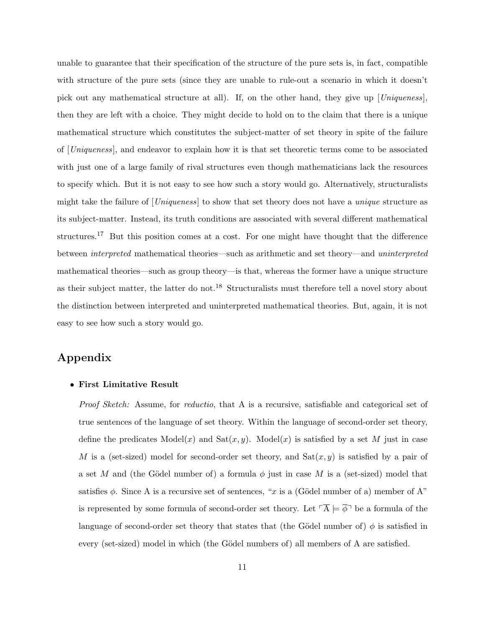unable to guarantee that their specification of the structure of the pure sets is, in fact, compatible with structure of the pure sets (since they are unable to rule-out a scenario in which it doesn't pick out any mathematical structure at all). If, on the other hand, they give up  $|Uniqueness|$ , then they are left with a choice. They might decide to hold on to the claim that there is a unique mathematical structure which constitutes the subject-matter of set theory in spite of the failure of [Uniqueness], and endeavor to explain how it is that set theoretic terms come to be associated with just one of a large family of rival structures even though mathematicians lack the resources to specify which. But it is not easy to see how such a story would go. Alternatively, structuralists might take the failure of [Uniqueness] to show that set theory does not have a unique structure as its subject-matter. Instead, its truth conditions are associated with several different mathematical structures.<sup>17</sup> But this position comes at a cost. For one might have thought that the difference between interpreted mathematical theories—such as arithmetic and set theory—and uninterpreted mathematical theories—such as group theory—is that, whereas the former have a unique structure as their subject matter, the latter do not.<sup>18</sup> Structuralists must therefore tell a novel story about the distinction between interpreted and uninterpreted mathematical theories. But, again, it is not easy to see how such a story would go.

# Appendix

### • First Limitative Result

Proof Sketch: Assume, for reductio, that A is a recursive, satisfiable and categorical set of true sentences of the language of set theory. Within the language of second-order set theory, define the predicates  $\text{Model}(x)$  and  $\text{Sat}(x, y)$ .  $\text{Model}(x)$  is satisfied by a set M just in case M is a (set-sized) model for second-order set theory, and  $Sat(x, y)$  is satisfied by a pair of a set M and (the Gödel number of) a formula  $\phi$  just in case M is a (set-sized) model that satisfies  $\phi$ . Since A is a recursive set of sentences, "x is a (Gödel number of a) member of A" is represented by some formula of second-order set theory. Let  $\ulcorner \overline{A} \models \overline{\phi} \urcorner$  be a formula of the language of second-order set theory that states that (the Gödel number of)  $\phi$  is satisfied in every (set-sized) model in which (the Gödel numbers of) all members of A are satisfied.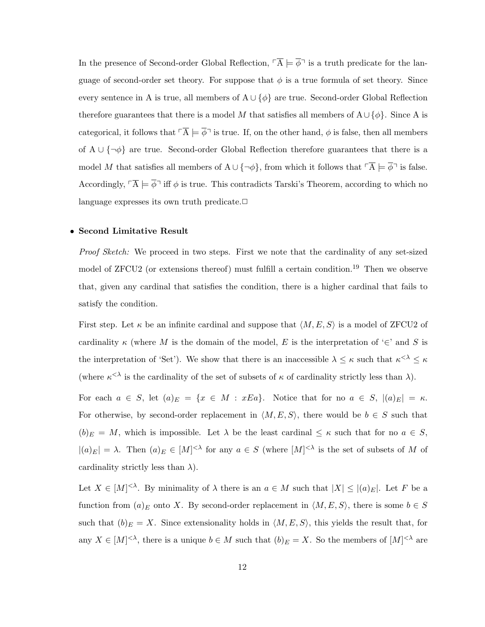In the presence of Second-order Global Reflection,  $\overline{A} \models \overline{\phi}$  is a truth predicate for the language of second-order set theory. For suppose that  $\phi$  is a true formula of set theory. Since every sentence in A is true, all members of  $A \cup \{\phi\}$  are true. Second-order Global Reflection therefore guarantees that there is a model M that satisfies all members of  $A \cup \{\phi\}$ . Since A is categorical, it follows that  $\overline{A} \models \overline{\phi}$  is true. If, on the other hand,  $\phi$  is false, then all members of A ∪  $\{\neg \phi\}$  are true. Second-order Global Reflection therefore guarantees that there is a model M that satisfies all members of  $A \cup \{\neg \phi\}$ , from which it follows that  $\ulcorner \overline{A} \models \overline{\phi} \urcorner$  is false. Accordingly,  $\overline{A} \models \overline{\phi}$  iff  $\phi$  is true. This contradicts Tarski's Theorem, according to which no language expresses its own truth predicate. $\Box$ 

## • Second Limitative Result

Proof Sketch: We proceed in two steps. First we note that the cardinality of any set-sized model of ZFCU2 (or extensions thereof) must fulfill a certain condition.<sup>19</sup> Then we observe that, given any cardinal that satisfies the condition, there is a higher cardinal that fails to satisfy the condition.

First step. Let  $\kappa$  be an infinite cardinal and suppose that  $\langle M, E, S \rangle$  is a model of ZFCU2 of cardinality  $\kappa$  (where M is the domain of the model, E is the interpretation of  $\in$  and S is the interpretation of 'Set'). We show that there is an inaccessible  $\lambda \leq \kappa$  such that  $\kappa^{<\lambda} \leq \kappa$ (where  $\kappa^{\langle \lambda \rangle}$  is the cardinality of the set of subsets of  $\kappa$  of cardinality strictly less than  $\lambda$ ).

For each  $a \in S$ , let  $(a)_E = \{x \in M : xEa\}$ . Notice that for no  $a \in S$ ,  $|(a)_E| = \kappa$ . For otherwise, by second-order replacement in  $\langle M, E, S \rangle$ , there would be  $b \in S$  such that  $(b)_E = M$ , which is impossible. Let  $\lambda$  be the least cardinal  $\leq \kappa$  such that for no  $a \in S$ ,  $|(a)_E| = \lambda$ . Then  $(a)_E \in [M]^{<\lambda}$  for any  $a \in S$  (where  $[M]^{<\lambda}$  is the set of subsets of M of cardinality strictly less than  $\lambda$ ).

Let  $X \in [M]^{<\lambda}$ . By minimality of  $\lambda$  there is an  $a \in M$  such that  $|X| \leq |(a)_E|$ . Let F be a function from  $(a)_E$  onto X. By second-order replacement in  $\langle M, E, S \rangle$ , there is some  $b \in S$ such that  $(b)_E = X$ . Since extensionality holds in  $\langle M, E, S \rangle$ , this yields the result that, for any  $X \in [M]^{< \lambda}$ , there is a unique  $b \in M$  such that  $(b)_E = X$ . So the members of  $[M]^{< \lambda}$  are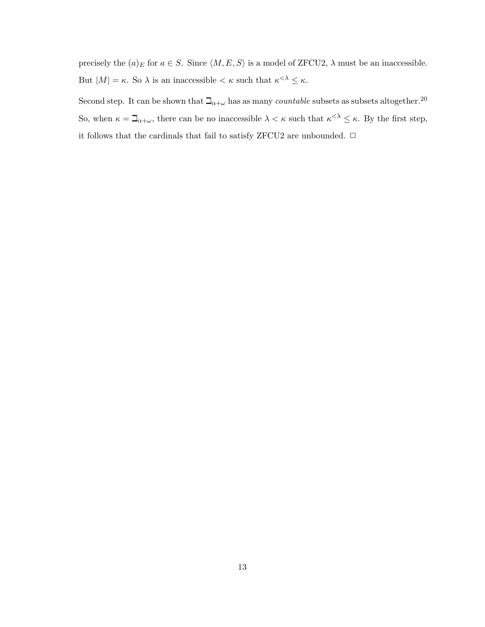precisely the  $(a)_E$  for  $a \in S$ . Since  $\langle M, E, S \rangle$  is a model of ZFCU2,  $\lambda$  must be an inaccessible. But  $|M| = \kappa$ . So  $\lambda$  is an inaccessible  $\lt \kappa$  such that  $\kappa^{\lt \lambda} \leq \kappa$ .

Second step. It can be shown that  $\Delta_{\alpha+\omega}$  has as many *countable* subsets as subsets altogether.<sup>20</sup> So, when  $\kappa = \mathbb{I}_{\alpha+\omega}$ , there can be no inaccessible  $\lambda < \kappa$  such that  $\kappa^{<\lambda} \leq \kappa$ . By the first step, it follows that the cardinals that fail to satisfy ZFCU2 are unbounded.  $\Box$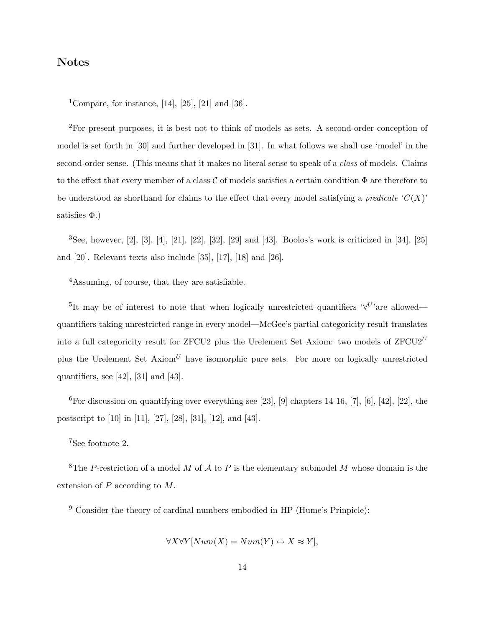# Notes

<sup>1</sup>Compare, for instance, [14], [25], [21] and [36].

<sup>2</sup>For present purposes, it is best not to think of models as sets. A second-order conception of model is set forth in [30] and further developed in [31]. In what follows we shall use 'model' in the second-order sense. (This means that it makes no literal sense to speak of a *class* of models. Claims to the effect that every member of a class C of models satisfies a certain condition  $\Phi$  are therefore to be understood as shorthand for claims to the effect that every model satisfying a *predicate*  $C(X)$ satisfies  $\Phi$ .)

 $3$ See, however,  $[2]$ ,  $[3]$ ,  $[4]$ ,  $[21]$ ,  $[22]$ ,  $[32]$ ,  $[29]$  and  $[43]$ . Boolos's work is criticized in  $[34]$ ,  $[25]$ and [20]. Relevant texts also include [35], [17], [18] and [26].

<sup>4</sup>Assuming, of course, that they are satisfiable.

<sup>5</sup>It may be of interest to note that when logically unrestricted quantifiers  $\forall U$ 'are allowed quantifiers taking unrestricted range in every model—McGee's partial categoricity result translates into a full categoricity result for ZFCU2 plus the Urelement Set Axiom: two models of  $ZFCU2^U$ plus the Urelement Set  $Axiom^U$  have isomorphic pure sets. For more on logically unrestricted quantifiers, see  $[42]$ ,  $[31]$  and  $[43]$ .

 ${}^{6}$ For discussion on quantifying over everything see [23], [9] chapters 14-16, [7], [6], [42], [22], the postscript to [10] in [11], [27], [28], [31], [12], and [43].

<sup>7</sup>See footnote 2.

<sup>8</sup>The P-restriction of a model M of A to P is the elementary submodel M whose domain is the extension of P according to M.

<sup>9</sup> Consider the theory of cardinal numbers embodied in HP (Hume's Prinpicle):

$$
\forall X \forall Y [Num(X) = Num(Y) \leftrightarrow X \approx Y],
$$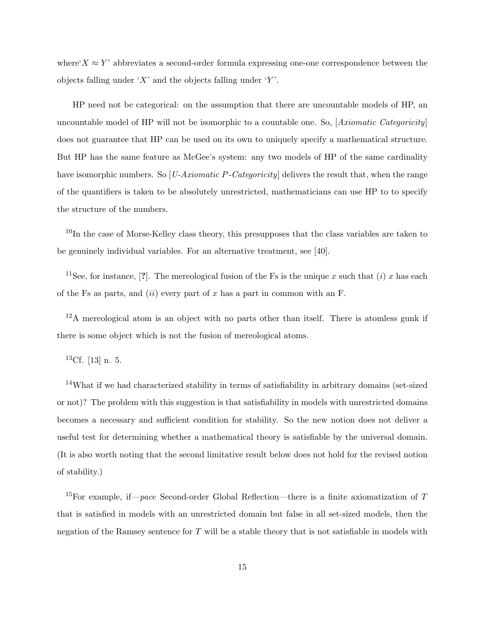where' $X \approx Y'$  abbreviates a second-order formula expressing one-one correspondence between the objects falling under 'X' and the objects falling under 'Y'.

HP need not be categorical: on the assumption that there are uncountable models of HP, an uncountable model of HP will not be isomorphic to a countable one. So,  $[Axiomatic$ does not guarantee that HP can be used on its own to uniquely specify a mathematical structure. But HP has the same feature as McGee's system: any two models of HP of the same cardinality have isomorphic numbers. So  $[U-Axiomatic P-Categoricality]$  delivers the result that, when the range of the quantifiers is taken to be absolutely unrestricted, mathematicians can use HP to to specify the structure of the numbers.

<sup>10</sup>In the case of Morse-Kelley class theory, this presupposes that the class variables are taken to be genuinely individual variables. For an alternative treatment, see [40].

<sup>11</sup>See, for instance, [?]. The mereological fusion of the Fs is the unique x such that (i) x has each of the Fs as parts, and *(ii)* every part of x has a part in common with an F.

 $12A$  mereological atom is an object with no parts other than itself. There is atomless gunk if there is some object which is not the fusion of mereological atoms.

 ${}^{13}$ Cf. [13] n. 5.

<sup>14</sup>What if we had characterized stability in terms of satisfiability in arbitrary domains (set-sized or not)? The problem with this suggestion is that satisfiability in models with unrestricted domains becomes a necessary and sufficient condition for stability. So the new notion does not deliver a useful test for determining whether a mathematical theory is satisfiable by the universal domain. (It is also worth noting that the second limitative result below does not hold for the revised notion of stability.)

<sup>15</sup>For example, if—pace Second-order Global Reflection—there is a finite axiomatization of T that is satisfied in models with an unrestricted domain but false in all set-sized models, then the negation of the Ramsey sentence for  $T$  will be a stable theory that is not satisfiable in models with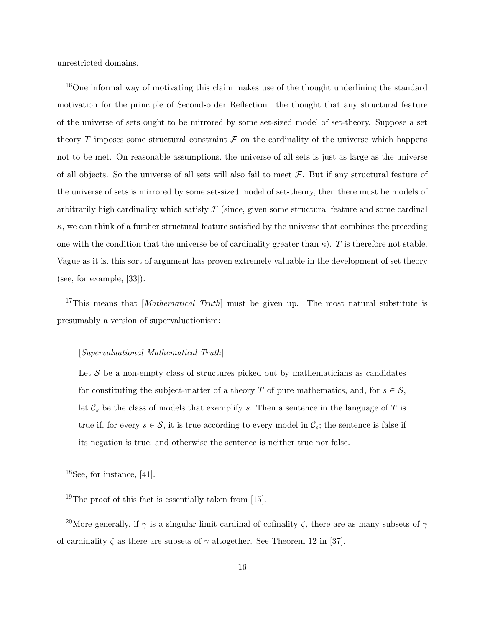unrestricted domains.

<sup>16</sup>One informal way of motivating this claim makes use of the thought underlining the standard motivation for the principle of Second-order Reflection—the thought that any structural feature of the universe of sets ought to be mirrored by some set-sized model of set-theory. Suppose a set theory T imposes some structural constraint  $\mathcal F$  on the cardinality of the universe which happens not to be met. On reasonable assumptions, the universe of all sets is just as large as the universe of all objects. So the universe of all sets will also fail to meet  $\mathcal F$ . But if any structural feature of the universe of sets is mirrored by some set-sized model of set-theory, then there must be models of arbitrarily high cardinality which satisfy  $\mathcal F$  (since, given some structural feature and some cardinal  $\kappa$ , we can think of a further structural feature satisfied by the universe that combines the preceding one with the condition that the universe be of cardinality greater than  $\kappa$ ). T is therefore not stable. Vague as it is, this sort of argument has proven extremely valuable in the development of set theory (see, for example, [33]).

<sup>17</sup>This means that [*Mathematical Truth*] must be given up. The most natural substitute is presumably a version of supervaluationism:

## [Supervaluational Mathematical Truth]

Let  $S$  be a non-empty class of structures picked out by mathematicians as candidates for constituting the subject-matter of a theory T of pure mathematics, and, for  $s \in \mathcal{S}$ , let  $\mathcal{C}_s$  be the class of models that exemplify s. Then a sentence in the language of T is true if, for every  $s \in \mathcal{S}$ , it is true according to every model in  $\mathcal{C}_s$ ; the sentence is false if its negation is true; and otherwise the sentence is neither true nor false.

 $18$ See, for instance, [41].

<sup>19</sup>The proof of this fact is essentially taken from [15].

<sup>20</sup>More generally, if  $\gamma$  is a singular limit cardinal of cofinality  $\zeta$ , there are as many subsets of  $\gamma$ of cardinality  $\zeta$  as there are subsets of  $\gamma$  altogether. See Theorem 12 in [37].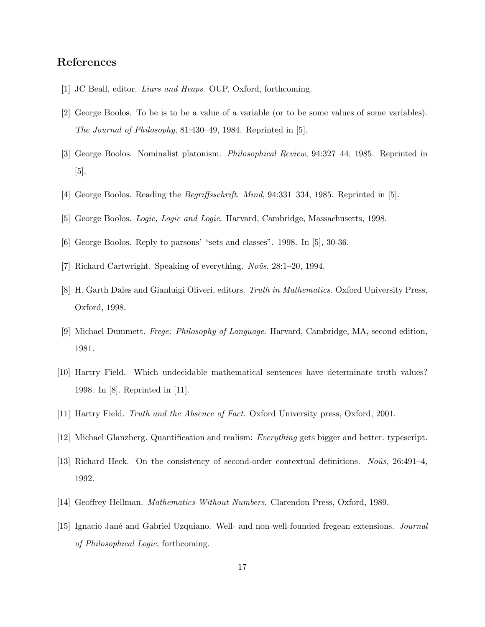# References

- [1] JC Beall, editor. Liars and Heaps. OUP, Oxford, forthcoming.
- [2] George Boolos. To be is to be a value of a variable (or to be some values of some variables). The Journal of Philosophy, 81:430–49, 1984. Reprinted in [5].
- [3] George Boolos. Nominalist platonism. Philosophical Review, 94:327–44, 1985. Reprinted in [5].
- [4] George Boolos. Reading the Begriffsschrift. Mind, 94:331–334, 1985. Reprinted in [5].
- [5] George Boolos. Logic, Logic and Logic. Harvard, Cambridge, Massachusetts, 1998.
- [6] George Boolos. Reply to parsons' "sets and classes". 1998. In [5], 30-36.
- [7] Richard Cartwright. Speaking of everything.  $N_{\text{o}}\hat{u}$ s, 28:1–20, 1994.
- [8] H. Garth Dales and Gianluigi Oliveri, editors. Truth in Mathematics. Oxford University Press, Oxford, 1998.
- [9] Michael Dummett. Frege: Philosophy of Language. Harvard, Cambridge, MA, second edition, 1981.
- [10] Hartry Field. Which undecidable mathematical sentences have determinate truth values? 1998. In [8]. Reprinted in [11].
- [11] Hartry Field. Truth and the Absence of Fact. Oxford University press, Oxford, 2001.
- [12] Michael Glanzberg. Quantification and realism: Everything gets bigger and better. typescript.
- [13] Richard Heck. On the consistency of second-order contextual definitions. No $\hat{u}$ s, 26:491–4, 1992.
- [14] Geoffrey Hellman. Mathematics Without Numbers. Clarendon Press, Oxford, 1989.
- [15] Ignacio Jané and Gabriel Uzquiano. Well- and non-well-founded fregean extensions. Journal of Philosophical Logic, forthcoming.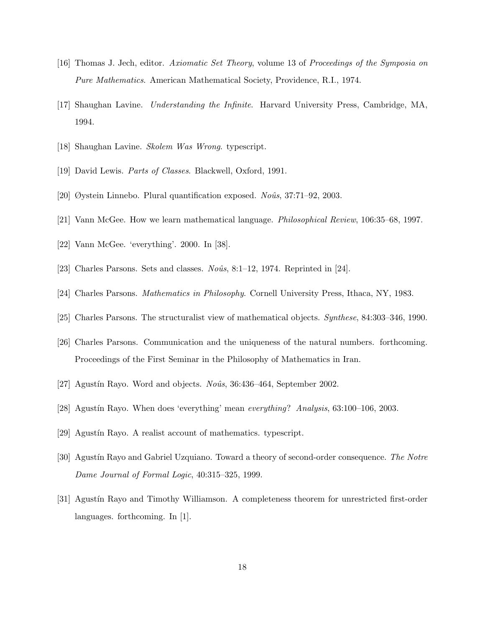- [16] Thomas J. Jech, editor. Axiomatic Set Theory, volume 13 of Proceedings of the Symposia on Pure Mathematics. American Mathematical Society, Providence, R.I., 1974.
- [17] Shaughan Lavine. Understanding the Infinite. Harvard University Press, Cambridge, MA, 1994.
- [18] Shaughan Lavine. Skolem Was Wrong. typescript.
- [19] David Lewis. Parts of Classes. Blackwell, Oxford, 1991.
- [20] Øystein Linnebo. Plural quantification exposed. No $\hat{u}$ s, 37:71–92, 2003.
- [21] Vann McGee. How we learn mathematical language. Philosophical Review, 106:35–68, 1997.
- [22] Vann McGee. 'everything'. 2000. In [38].
- [23] Charles Parsons. Sets and classes.  $No\hat{u}$ s, 8:1–12, 1974. Reprinted in [24].
- [24] Charles Parsons. Mathematics in Philosophy. Cornell University Press, Ithaca, NY, 1983.
- [25] Charles Parsons. The structuralist view of mathematical objects. Synthese, 84:303–346, 1990.
- [26] Charles Parsons. Communication and the uniqueness of the natural numbers. forthcoming. Proceedings of the First Seminar in the Philosophy of Mathematics in Iran.
- [27] Agustín Rayo. Word and objects.  $No\hat{u}$ s, 36:436–464, September 2002.
- [28] Agustín Rayo. When does 'everything' mean everything? Analysis, 63:100–106, 2003.
- [29] Agustín Rayo. A realist account of mathematics. typescript.
- [30] Agustín Rayo and Gabriel Uzquiano. Toward a theory of second-order consequence. The Notre Dame Journal of Formal Logic, 40:315–325, 1999.
- [31] Agustín Rayo and Timothy Williamson. A completeness theorem for unrestricted first-order languages. forthcoming. In [1].